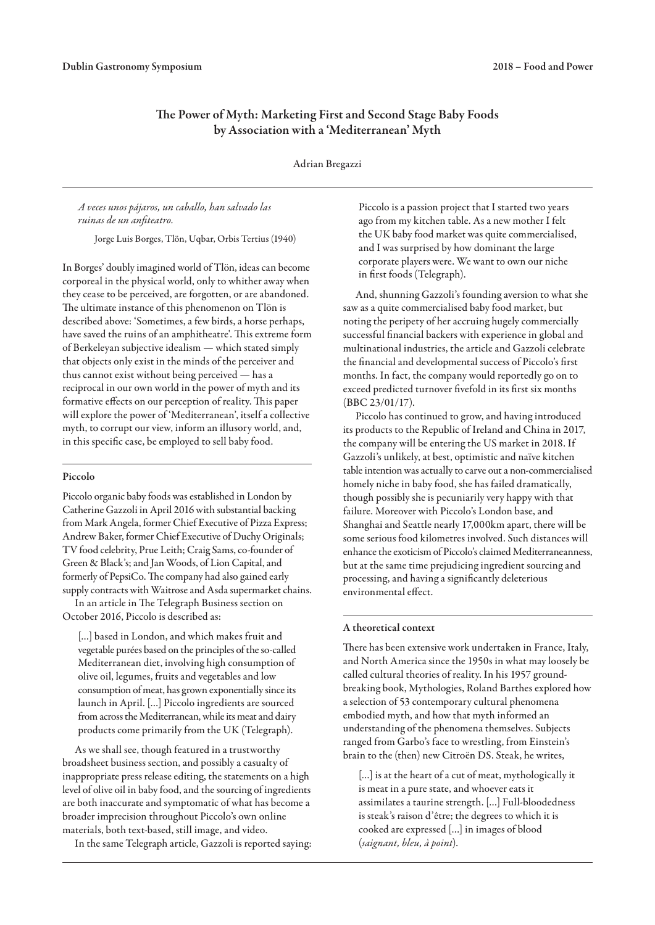# The Power of Myth: Marketing First and Second Stage Baby Foods by Association with a 'Mediterranean' Myth

# Adrian Bregazzi

*A veces unos pájaros, un caballo, han salvado las ruinas de un anfiteatro.*

Jorge Luis Borges, Tlön, Uqbar, Orbis Tertius (1940)

In Borges' doubly imagined world of Tlön, ideas can become corporeal in the physical world, only to whither away when they cease to be perceived, are forgotten, or are abandoned. The ultimate instance of this phenomenon on Tlön is described above: 'Sometimes, a few birds, a horse perhaps, have saved the ruins of an amphitheatre'. This extreme form of Berkeleyan subjective idealism — which stated simply that objects only exist in the minds of the perceiver and thus cannot exist without being perceived — has a reciprocal in our own world in the power of myth and its formative effects on our perception of reality. This paper will explore the power of 'Mediterranean', itself a collective myth, to corrupt our view, inform an illusory world, and, in this specific case, be employed to sell baby food.

### Piccolo

Piccolo organic baby foods was established in London by Catherine Gazzoli in April 2016 with substantial backing from Mark Angela, former Chief Executive of Pizza Express; Andrew Baker, former Chief Executive of Duchy Originals; TV food celebrity, Prue Leith; Craig Sams, co-founder of Green & Black's; and Jan Woods, of Lion Capital, and formerly of PepsiCo. The company had also gained early supply contracts with Waitrose and Asda supermarket chains.

In an article in The Telegraph Business section on October 2016, Piccolo is described as:

[...] based in London, and which makes fruit and vegetable purées based on the principles of the so-called Mediterranean diet, involving high consumption of olive oil, legumes, fruits and vegetables and low consumption of meat, has grown exponentially since its launch in April. […] Piccolo ingredients are sourced from across the Mediterranean, while its meat and dairy products come primarily from the UK (Telegraph).

As we shall see, though featured in a trustworthy broadsheet business section, and possibly a casualty of inappropriate press release editing, the statements on a high level of olive oil in baby food, and the sourcing of ingredients are both inaccurate and symptomatic of what has become a broader imprecision throughout Piccolo's own online materials, both text-based, still image, and video.

In the same Telegraph article, Gazzoli is reported saying:

Piccolo is a passion project that I started two years ago from my kitchen table. As a new mother I felt the UK baby food market was quite commercialised, and I was surprised by how dominant the large corporate players were. We want to own our niche in first foods (Telegraph).

And, shunning Gazzoli's founding aversion to what she saw as a quite commercialised baby food market, but noting the peripety of her accruing hugely commercially successful financial backers with experience in global and multinational industries, the article and Gazzoli celebrate the financial and developmental success of Piccolo's first months. In fact, the company would reportedly go on to exceed predicted turnover fivefold in its first six months (BBC 23/01/17).

Piccolo has continued to grow, and having introduced its products to the Republic of Ireland and China in 2017, the company will be entering the US market in 2018. If Gazzoli's unlikely, at best, optimistic and naïve kitchen table intention was actually to carve out a non-commercialised homely niche in baby food, she has failed dramatically, though possibly she is pecuniarily very happy with that failure. Moreover with Piccolo's London base, and Shanghai and Seattle nearly 17,000km apart, there will be some serious food kilometres involved. Such distances will enhance the exoticism of Piccolo's claimed Mediterraneanness, but at the same time prejudicing ingredient sourcing and processing, and having a significantly deleterious environmental effect.

# A theoretical context

There has been extensive work undertaken in France, Italy, and North America since the 1950s in what may loosely be called cultural theories of reality. In his 1957 groundbreaking book, Mythologies, Roland Barthes explored how a selection of 53 contemporary cultural phenomena embodied myth, and how that myth informed an understanding of the phenomena themselves. Subjects ranged from Garbo's face to wrestling, from Einstein's brain to the (then) new Citroën DS. Steak, he writes,

[...] is at the heart of a cut of meat, mythologically it is meat in a pure state, and whoever eats it assimilates a taurine strength. […] Full-bloodedness is steak's raison d'être; the degrees to which it is cooked are expressed […] in images of blood (*saignant, bleu, à point*).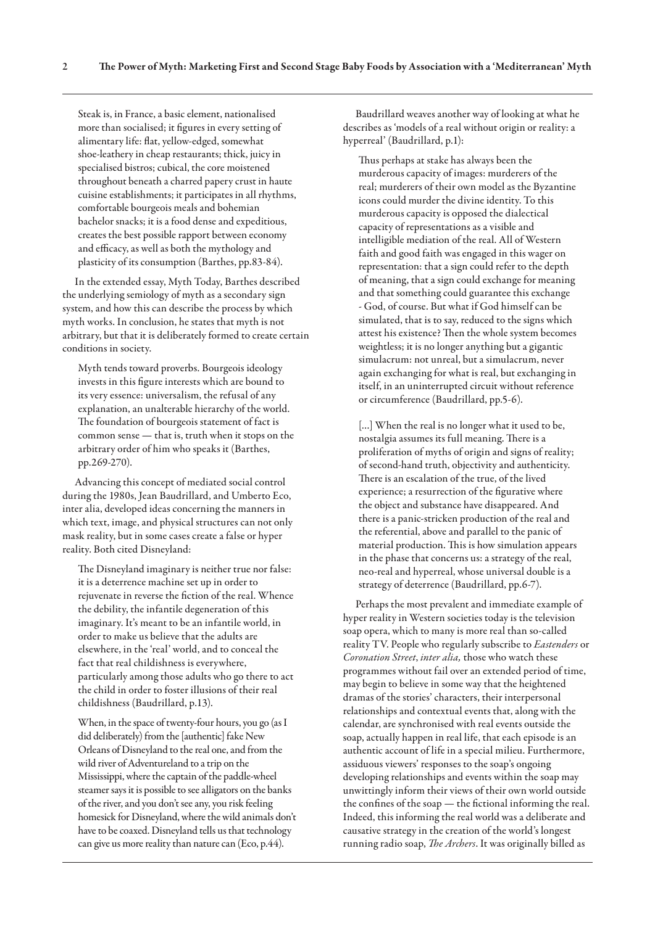Steak is, in France, a basic element, nationalised more than socialised; it figures in every setting of alimentary life: flat, yellow-edged, somewhat shoe-leathery in cheap restaurants; thick, juicy in specialised bistros; cubical, the core moistened throughout beneath a charred papery crust in haute cuisine establishments; it participates in all rhythms, comfortable bourgeois meals and bohemian bachelor snacks; it is a food dense and expeditious, creates the best possible rapport between economy and efficacy, as well as both the mythology and plasticity of its consumption (Barthes, pp.83-84).

In the extended essay, Myth Today, Barthes described the underlying semiology of myth as a secondary sign system, and how this can describe the process by which myth works. In conclusion, he states that myth is not arbitrary, but that it is deliberately formed to create certain conditions in society.

Myth tends toward proverbs. Bourgeois ideology invests in this figure interests which are bound to its very essence: universalism, the refusal of any explanation, an unalterable hierarchy of the world. The foundation of bourgeois statement of fact is common sense — that is, truth when it stops on the arbitrary order of him who speaks it (Barthes, pp.269-270).

Advancing this concept of mediated social control during the 1980s, Jean Baudrillard, and Umberto Eco, inter alia, developed ideas concerning the manners in which text, image, and physical structures can not only mask reality, but in some cases create a false or hyper reality. Both cited Disneyland:

The Disneyland imaginary is neither true nor false: it is a deterrence machine set up in order to rejuvenate in reverse the fiction of the real. Whence the debility, the infantile degeneration of this imaginary. It's meant to be an infantile world, in order to make us believe that the adults are elsewhere, in the 'real' world, and to conceal the fact that real childishness is everywhere, particularly among those adults who go there to act the child in order to foster illusions of their real childishness (Baudrillard, p.13).

When, in the space of twenty-four hours, you go (as I did deliberately) from the [authentic] fake New Orleans of Disneyland to the real one, and from the wild river of Adventureland to a trip on the Mississippi, where the captain of the paddle-wheel steamer says it is possible to see alligators on the banks of the river, and you don't see any, you risk feeling homesick for Disneyland, where the wild animals don't have to be coaxed. Disneyland tells us that technology can give us more reality than nature can (Eco, p.44).

Baudrillard weaves another way of looking at what he describes as 'models of a real without origin or reality: a hyperreal' (Baudrillard, p.1):

Thus perhaps at stake has always been the murderous capacity of images: murderers of the real; murderers of their own model as the Byzantine icons could murder the divine identity. To this murderous capacity is opposed the dialectical capacity of representations as a visible and intelligible mediation of the real. All of Western faith and good faith was engaged in this wager on representation: that a sign could refer to the depth of meaning, that a sign could exchange for meaning and that something could guarantee this exchange - God, of course. But what if God himself can be simulated, that is to say, reduced to the signs which attest his existence? Then the whole system becomes weightless; it is no longer anything but a gigantic simulacrum: not unreal, but a simulacrum, never again exchanging for what is real, but exchanging in itself, in an uninterrupted circuit without reference or circumference (Baudrillard, pp.5-6).

[...] When the real is no longer what it used to be, nostalgia assumes its full meaning. There is a proliferation of myths of origin and signs of reality; of second-hand truth, objectivity and authenticity. There is an escalation of the true, of the lived experience; a resurrection of the figurative where the object and substance have disappeared. And there is a panic-stricken production of the real and the referential, above and parallel to the panic of material production. This is how simulation appears in the phase that concerns us: a strategy of the real, neo-real and hyperreal, whose universal double is a strategy of deterrence (Baudrillard, pp.6-7).

Perhaps the most prevalent and immediate example of hyper reality in Western societies today is the television soap opera, which to many is more real than so-called reality TV. People who regularly subscribe to *Eastenders* or *Coronation Street*, *inter alia,* those who watch these programmes without fail over an extended period of time, may begin to believe in some way that the heightened dramas of the stories' characters, their interpersonal relationships and contextual events that, along with the calendar, are synchronised with real events outside the soap, actually happen in real life, that each episode is an authentic account of life in a special milieu. Furthermore, assiduous viewers' responses to the soap's ongoing developing relationships and events within the soap may unwittingly inform their views of their own world outside the confines of the soap — the fictional informing the real. Indeed, this informing the real world was a deliberate and causative strategy in the creation of the world's longest running radio soap, *The Archers*. It was originally billed as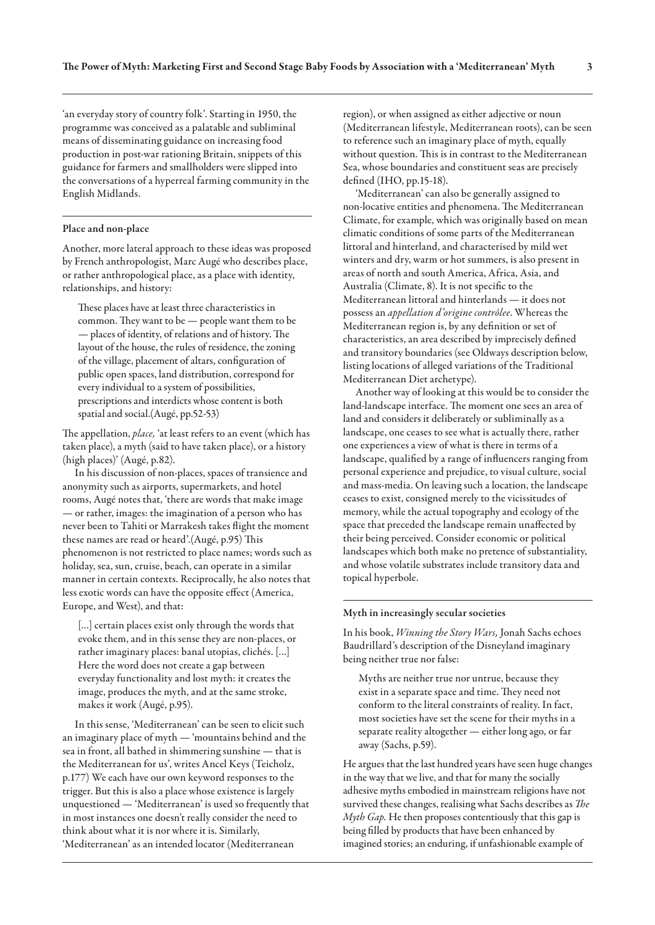'an everyday story of country folk'. Starting in 1950, the programme was conceived as a palatable and subliminal means of disseminating guidance on increasing food production in post-war rationing Britain, snippets of this guidance for farmers and smallholders were slipped into the conversations of a hyperreal farming community in the English Midlands.

# Place and non-place

Another, more lateral approach to these ideas was proposed by French anthropologist, Marc Augé who describes place, or rather anthropological place, as a place with identity, relationships, and history:

These places have at least three characteristics in common. They want to be — people want them to be — places of identity, of relations and of history. The layout of the house, the rules of residence, the zoning of the village, placement of altars, configuration of public open spaces, land distribution, correspond for every individual to a system of possibilities, prescriptions and interdicts whose content is both spatial and social.(Augé, pp.52-53)

The appellation, *place,* 'at least refers to an event (which has taken place), a myth (said to have taken place), or a history (high places)' (Augé, p.82).

In his discussion of non-places, spaces of transience and anonymity such as airports, supermarkets, and hotel rooms, Augé notes that, 'there are words that make image — or rather, images: the imagination of a person who has never been to Tahiti or Marrakesh takes flight the moment these names are read or heard'.(Augé, p.95) This phenomenon is not restricted to place names; words such as holiday, sea, sun, cruise, beach, can operate in a similar manner in certain contexts. Reciprocally, he also notes that less exotic words can have the opposite effect (America, Europe, and West), and that:

[...] certain places exist only through the words that evoke them, and in this sense they are non-places, or rather imaginary places: banal utopias, clichés. […] Here the word does not create a gap between everyday functionality and lost myth: it creates the image, produces the myth, and at the same stroke, makes it work (Augé, p.95).

In this sense, 'Mediterranean' can be seen to elicit such an imaginary place of myth — 'mountains behind and the sea in front, all bathed in shimmering sunshine — that is the Mediterranean for us', writes Ancel Keys (Teicholz, p.177) We each have our own keyword responses to the trigger. But this is also a place whose existence is largely unquestioned — 'Mediterranean' is used so frequently that in most instances one doesn't really consider the need to think about what it is nor where it is. Similarly, 'Mediterranean' as an intended locator (Mediterranean

region), or when assigned as either adjective or noun (Mediterranean lifestyle, Mediterranean roots), can be seen to reference such an imaginary place of myth, equally without question. This is in contrast to the Mediterranean Sea, whose boundaries and constituent seas are precisely defined (IHO, pp.15-18).

'Mediterranean' can also be generally assigned to non-locative entities and phenomena. The Mediterranean Climate, for example, which was originally based on mean climatic conditions of some parts of the Mediterranean littoral and hinterland, and characterised by mild wet winters and dry, warm or hot summers, is also present in areas of north and south America, Africa, Asia, and Australia (Climate, 8). It is not specific to the Mediterranean littoral and hinterlands — it does not possess an *appellation d'origine contrôlee*. Whereas the Mediterranean region is, by any definition or set of characteristics, an area described by imprecisely defined and transitory boundaries (see Oldways description below, listing locations of alleged variations of the Traditional Mediterranean Diet archetype).

Another way of looking at this would be to consider the land-landscape interface. The moment one sees an area of land and considers it deliberately or subliminally as a landscape, one ceases to see what is actually there, rather one experiences a view of what is there in terms of a landscape, qualified by a range of influencers ranging from personal experience and prejudice, to visual culture, social and mass-media. On leaving such a location, the landscape ceases to exist, consigned merely to the vicissitudes of memory, while the actual topography and ecology of the space that preceded the landscape remain unaffected by their being perceived. Consider economic or political landscapes which both make no pretence of substantiality, and whose volatile substrates include transitory data and topical hyperbole.

#### Myth in increasingly secular societies

In his book, *Winning the Story Wars,* Jonah Sachs echoes Baudrillard's description of the Disneyland imaginary being neither true nor false:

Myths are neither true nor untrue, because they exist in a separate space and time. They need not conform to the literal constraints of reality. In fact, most societies have set the scene for their myths in a separate reality altogether — either long ago, or far away (Sachs, p.59).

He argues that the last hundred years have seen huge changes in the way that we live, and that for many the socially adhesive myths embodied in mainstream religions have not survived these changes, realising what Sachs describes as *The Myth Gap.* He then proposes contentiously that this gap is being filled by products that have been enhanced by imagined stories; an enduring, if unfashionable example of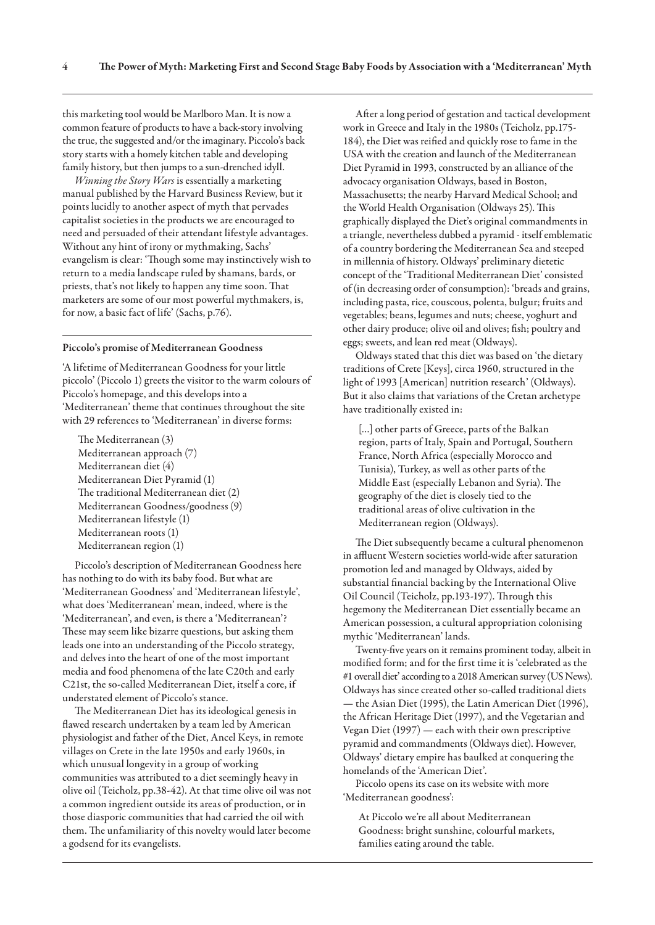this marketing tool would be Marlboro Man. It is now a common feature of products to have a back-story involving the true, the suggested and/or the imaginary. Piccolo's back story starts with a homely kitchen table and developing family history, but then jumps to a sun-drenched idyll.

*Winning the Story Wars* is essentially a marketing manual published by the Harvard Business Review, but it points lucidly to another aspect of myth that pervades capitalist societies in the products we are encouraged to need and persuaded of their attendant lifestyle advantages. Without any hint of irony or mythmaking, Sachs' evangelism is clear: 'Though some may instinctively wish to return to a media landscape ruled by shamans, bards, or priests, that's not likely to happen any time soon. That marketers are some of our most powerful mythmakers, is, for now, a basic fact of life' (Sachs, p.76).

### Piccolo's promise of Mediterranean Goodness

'A lifetime of Mediterranean Goodness for your little piccolo' (Piccolo 1) greets the visitor to the warm colours of Piccolo's homepage, and this develops into a 'Mediterranean' theme that continues throughout the site with 29 references to 'Mediterranean' in diverse forms:

The Mediterranean (3) Mediterranean approach (7) Mediterranean diet (4) Mediterranean Diet Pyramid (1) The traditional Mediterranean diet (2) Mediterranean Goodness/goodness (9) Mediterranean lifestyle (1) Mediterranean roots (1) Mediterranean region (1)

Piccolo's description of Mediterranean Goodness here has nothing to do with its baby food. But what are 'Mediterranean Goodness' and 'Mediterranean lifestyle', what does 'Mediterranean' mean, indeed, where is the 'Mediterranean', and even, is there a 'Mediterranean'? These may seem like bizarre questions, but asking them leads one into an understanding of the Piccolo strategy, and delves into the heart of one of the most important media and food phenomena of the late C20th and early C21st, the so-called Mediterranean Diet, itself a core, if understated element of Piccolo's stance.

The Mediterranean Diet has its ideological genesis in flawed research undertaken by a team led by American physiologist and father of the Diet, Ancel Keys, in remote villages on Crete in the late 1950s and early 1960s, in which unusual longevity in a group of working communities was attributed to a diet seemingly heavy in olive oil (Teicholz, pp.38-42). At that time olive oil was not a common ingredient outside its areas of production, or in those diasporic communities that had carried the oil with them. The unfamiliarity of this novelty would later become a godsend for its evangelists.

After a long period of gestation and tactical development work in Greece and Italy in the 1980s (Teicholz, pp.175- 184), the Diet was reified and quickly rose to fame in the USA with the creation and launch of the Mediterranean Diet Pyramid in 1993, constructed by an alliance of the advocacy organisation Oldways, based in Boston, Massachusetts; the nearby Harvard Medical School; and the World Health Organisation (Oldways 25). This graphically displayed the Diet's original commandments in a triangle, nevertheless dubbed a pyramid - itself emblematic of a country bordering the Mediterranean Sea and steeped in millennia of history. Oldways' preliminary dietetic concept of the 'Traditional Mediterranean Diet' consisted of (in decreasing order of consumption): 'breads and grains, including pasta, rice, couscous, polenta, bulgur; fruits and vegetables; beans, legumes and nuts; cheese, yoghurt and other dairy produce; olive oil and olives; fish; poultry and eggs; sweets, and lean red meat (Oldways).

Oldways stated that this diet was based on 'the dietary traditions of Crete [Keys], circa 1960, structured in the light of 1993 [American] nutrition research' (Oldways). But it also claims that variations of the Cretan archetype have traditionally existed in:

[...] other parts of Greece, parts of the Balkan region, parts of Italy, Spain and Portugal, Southern France, North Africa (especially Morocco and Tunisia), Turkey, as well as other parts of the Middle East (especially Lebanon and Syria). The geography of the diet is closely tied to the traditional areas of olive cultivation in the Mediterranean region (Oldways).

The Diet subsequently became a cultural phenomenon in affluent Western societies world-wide after saturation promotion led and managed by Oldways, aided by substantial financial backing by the International Olive Oil Council (Teicholz, pp.193-197). Through this hegemony the Mediterranean Diet essentially became an American possession, a cultural appropriation colonising mythic 'Mediterranean' lands.

Twenty-five years on it remains prominent today, albeit in modified form; and for the first time it is 'celebrated as the #1 overall diet' according to a 2018 American survey (US News). Oldways has since created other so-called traditional diets — the Asian Diet (1995), the Latin American Diet (1996), the African Heritage Diet (1997), and the Vegetarian and Vegan Diet (1997) — each with their own prescriptive pyramid and commandments (Oldways diet). However, Oldways' dietary empire has baulked at conquering the homelands of the 'American Diet'.

Piccolo opens its case on its website with more 'Mediterranean goodness':

At Piccolo we're all about Mediterranean Goodness: bright sunshine, colourful markets, families eating around the table.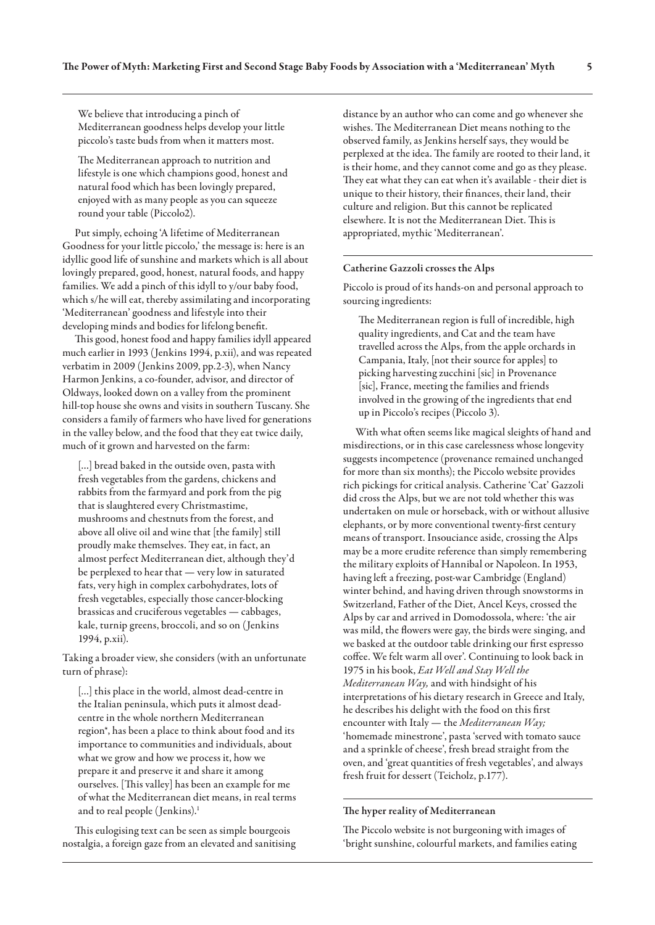We believe that introducing a pinch of Mediterranean goodness helps develop your little piccolo's taste buds from when it matters most.

The Mediterranean approach to nutrition and lifestyle is one which champions good, honest and natural food which has been lovingly prepared, enjoyed with as many people as you can squeeze round your table (Piccolo2).

Put simply, echoing 'A lifetime of Mediterranean Goodness for your little piccolo,' the message is: here is an idyllic good life of sunshine and markets which is all about lovingly prepared, good, honest, natural foods, and happy families. We add a pinch of this idyll to y/our baby food, which s/he will eat, thereby assimilating and incorporating 'Mediterranean' goodness and lifestyle into their developing minds and bodies for lifelong benefit.

This good, honest food and happy families idyll appeared much earlier in 1993 (Jenkins 1994, p.xii), and was repeated verbatim in 2009 (Jenkins 2009, pp.2-3), when Nancy Harmon Jenkins, a co-founder, advisor, and director of Oldways, looked down on a valley from the prominent hill-top house she owns and visits in southern Tuscany. She considers a family of farmers who have lived for generations in the valley below, and the food that they eat twice daily, much of it grown and harvested on the farm:

[...] bread baked in the outside oven, pasta with fresh vegetables from the gardens, chickens and rabbits from the farmyard and pork from the pig that is slaughtered every Christmastime, mushrooms and chestnuts from the forest, and above all olive oil and wine that [the family] still proudly make themselves. They eat, in fact, an almost perfect Mediterranean diet, although they'd be perplexed to hear that — very low in saturated fats, very high in complex carbohydrates, lots of fresh vegetables, especially those cancer-blocking brassicas and cruciferous vegetables — cabbages, kale, turnip greens, broccoli, and so on (Jenkins 1994, p.xii).

Taking a broader view, she considers (with an unfortunate turn of phrase):

[...] this place in the world, almost dead-centre in the Italian peninsula, which puts it almost deadcentre in the whole northern Mediterranean region\*, has been a place to think about food and its importance to communities and individuals, about what we grow and how we process it, how we prepare it and preserve it and share it among ourselves. [This valley] has been an example for me of what the Mediterranean diet means, in real terms and to real people (Jenkins).<sup>1</sup>

This eulogising text can be seen as simple bourgeois nostalgia, a foreign gaze from an elevated and sanitising distance by an author who can come and go whenever she wishes. The Mediterranean Diet means nothing to the observed family, as Jenkins herself says, they would be perplexed at the idea. The family are rooted to their land, it is their home, and they cannot come and go as they please. They eat what they can eat when it's available - their diet is unique to their history, their finances, their land, their culture and religion. But this cannot be replicated elsewhere. It is not the Mediterranean Diet. This is appropriated, mythic 'Mediterranean'.

# Catherine Gazzoli crosses the Alps

Piccolo is proud of its hands-on and personal approach to sourcing ingredients:

The Mediterranean region is full of incredible, high quality ingredients, and Cat and the team have travelled across the Alps, from the apple orchards in Campania, Italy, [not their source for apples] to picking harvesting zucchini [sic] in Provenance [sic], France, meeting the families and friends involved in the growing of the ingredients that end up in Piccolo's recipes (Piccolo 3).

With what often seems like magical sleights of hand and misdirections, or in this case carelessness whose longevity suggests incompetence (provenance remained unchanged for more than six months); the Piccolo website provides rich pickings for critical analysis. Catherine 'Cat' Gazzoli did cross the Alps, but we are not told whether this was undertaken on mule or horseback, with or without allusive elephants, or by more conventional twenty-first century means of transport. Insouciance aside, crossing the Alps may be a more erudite reference than simply remembering the military exploits of Hannibal or Napoleon. In 1953, having left a freezing, post-war Cambridge (England) winter behind, and having driven through snowstorms in Switzerland, Father of the Diet, Ancel Keys, crossed the Alps by car and arrived in Domodossola, where: 'the air was mild, the flowers were gay, the birds were singing, and we basked at the outdoor table drinking our first espresso coffee. We felt warm all over'. Continuing to look back in 1975 in his book, *Eat Well and Stay Well the Mediterranean Way,* and with hindsight of his interpretations of his dietary research in Greece and Italy, he describes his delight with the food on this first encounter with Italy — the *Mediterranean Way;* 'homemade minestrone', pasta 'served with tomato sauce and a sprinkle of cheese', fresh bread straight from the oven, and 'great quantities of fresh vegetables', and always fresh fruit for dessert (Teicholz, p.177).

# The hyper reality of Mediterranean

The Piccolo website is not burgeoning with images of 'bright sunshine, colourful markets, and families eating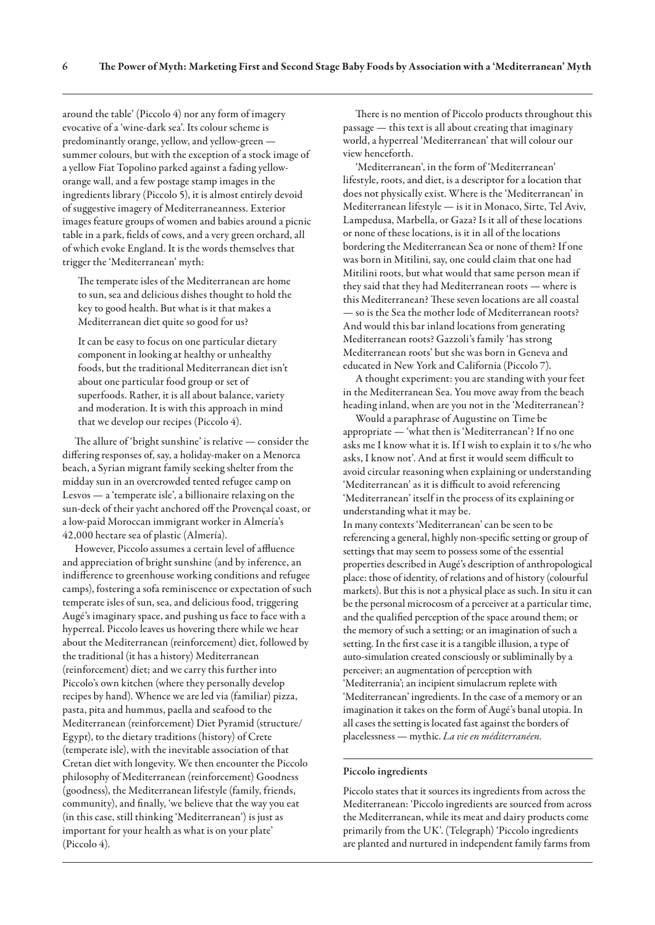around the table' (Piccolo 4) nor any form of imagery evocative of a 'wine-dark sea'. Its colour scheme is predominantly orange, yellow, and yellow-green summer colours, but with the exception of a stock image of a yellow Fiat Topolino parked against a fading yelloworange wall, and a few postage stamp images in the ingredients library (Piccolo 5), it is almost entirely devoid of suggestive imagery of Mediterraneanness. Exterior images feature groups of women and babies around a picnic table in a park, fields of cows, and a very green orchard, all of which evoke England. It is the words themselves that trigger the 'Mediterranean' myth:

The temperate isles of the Mediterranean are home to sun, sea and delicious dishes thought to hold the key to good health. But what is it that makes a Mediterranean diet quite so good for us?

It can be easy to focus on one particular dietary component in looking at healthy or unhealthy foods, but the traditional Mediterranean diet isn't about one particular food group or set of superfoods. Rather, it is all about balance, variety and moderation. It is with this approach in mind that we develop our recipes (Piccolo 4).

The allure of 'bright sunshine' is relative — consider the differing responses of, say, a holiday-maker on a Menorca beach, a Syrian migrant family seeking shelter from the midday sun in an overcrowded tented refugee camp on Lesvos — a 'temperate isle', a billionaire relaxing on the sun-deck of their yacht anchored off the Provençal coast, or a low-paid Moroccan immigrant worker in Almería's 42,000 hectare sea of plastic (Almería).

However, Piccolo assumes a certain level of affluence and appreciation of bright sunshine (and by inference, an indifference to greenhouse working conditions and refugee camps), fostering a sofa reminiscence or expectation of such temperate isles of sun, sea, and delicious food, triggering Augé's imaginary space, and pushing us face to face with a hyperreal. Piccolo leaves us hovering there while we hear about the Mediterranean (reinforcement) diet, followed by the traditional (it has a history) Mediterranean (reinforcement) diet; and we carry this further into Piccolo's own kitchen (where they personally develop recipes by hand). Whence we are led via (familiar) pizza, pasta, pita and hummus, paella and seafood to the Mediterranean (reinforcement) Diet Pyramid (structure/ Egypt), to the dietary traditions (history) of Crete (temperate isle), with the inevitable association of that Cretan diet with longevity. We then encounter the Piccolo philosophy of Mediterranean (reinforcement) Goodness (goodness), the Mediterranean lifestyle (family, friends, community), and finally, 'we believe that the way you eat (in this case, still thinking 'Mediterranean') is just as important for your health as what is on your plate' (Piccolo 4).

There is no mention of Piccolo products throughout this passage — this text is all about creating that imaginary world, a hyperreal 'Mediterranean' that will colour our view henceforth.

'Mediterranean', in the form of 'Mediterranean' lifestyle, roots, and diet, is a descriptor for a location that does not physically exist. Where is the 'Mediterranean' in Mediterranean lifestyle — is it in Monaco, Sirte, Tel Aviv, Lampedusa, Marbella, or Gaza? Is it all of these locations or none of these locations, is it in all of the locations bordering the Mediterranean Sea or none of them? If one was born in Mitilini, say, one could claim that one had Mitilini roots, but what would that same person mean if they said that they had Mediterranean roots — where is this Mediterranean? These seven locations are all coastal — so is the Sea the mother lode of Mediterranean roots? And would this bar inland locations from generating Mediterranean roots? Gazzoli's family 'has strong Mediterranean roots' but she was born in Geneva and educated in New York and California (Piccolo 7).

A thought experiment: you are standing with your feet in the Mediterranean Sea. You move away from the beach heading inland, when are you not in the 'Mediterranean'?

Would a paraphrase of Augustine on Time be appropriate — 'what then is 'Mediterranean'? If no one asks me I know what it is. If I wish to explain it to s/he who asks, I know not'. And at first it would seem difficult to avoid circular reasoning when explaining or understanding 'Mediterranean' as it is difficult to avoid referencing 'Mediterranean' itself in the process of its explaining or understanding what it may be. In many contexts 'Mediterranean' can be seen to be referencing a general, highly non-specific setting or group of settings that may seem to possess some of the essential properties described in Augé's description of anthropological place: those of identity, of relations and of history (colourful markets). But this is not a physical place as such. In situ it can be the personal microcosm of a perceiver at a particular time, and the qualified perception of the space around them; or the memory of such a setting; or an imagination of such a setting. In the first case it is a tangible illusion, a type of auto-simulation created consciously or subliminally by a perceiver; an augmentation of perception with 'Mediterrania'; an incipient simulacrum replete with 'Mediterranean' ingredients. In the case of a memory or an imagination it takes on the form of Augé's banal utopia. In all cases the setting is located fast against the borders of placelessness — mythic. *La vie en méditerranéen.*

#### Piccolo ingredients

Piccolo states that it sources its ingredients from across the Mediterranean: 'Piccolo ingredients are sourced from across the Mediterranean, while its meat and dairy products come primarily from the UK'. (Telegraph) 'Piccolo ingredients are planted and nurtured in independent family farms from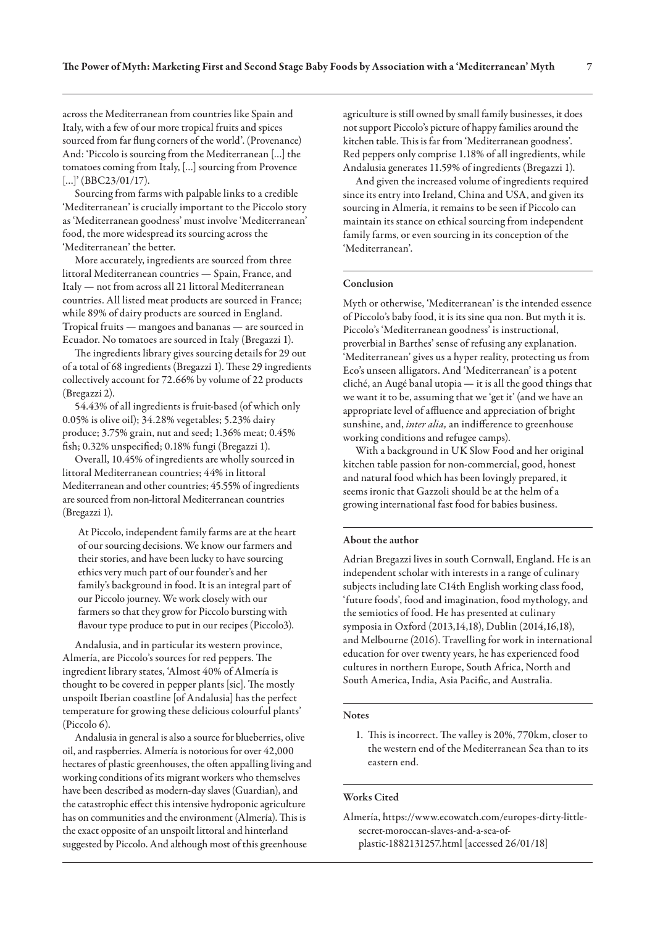across the Mediterranean from countries like Spain and Italy, with a few of our more tropical fruits and spices sourced from far flung corners of the world'. (Provenance) And: 'Piccolo is sourcing from the Mediterranean […] the tomatoes coming from Italy, […] sourcing from Provence  $[...]'$  (BBC23/01/17).

Sourcing from farms with palpable links to a credible 'Mediterranean' is crucially important to the Piccolo story as 'Mediterranean goodness' must involve 'Mediterranean' food, the more widespread its sourcing across the 'Mediterranean' the better.

More accurately, ingredients are sourced from three littoral Mediterranean countries — Spain, France, and Italy — not from across all 21 littoral Mediterranean countries. All listed meat products are sourced in France; while 89% of dairy products are sourced in England. Tropical fruits — mangoes and bananas — are sourced in Ecuador. No tomatoes are sourced in Italy (Bregazzi 1).

The ingredients library gives sourcing details for 29 out of a total of 68 ingredients (Bregazzi 1). These 29 ingredients collectively account for 72.66% by volume of 22 products (Bregazzi 2).

54.43% of all ingredients is fruit-based (of which only 0.05% is olive oil); 34.28% vegetables; 5.23% dairy produce; 3.75% grain, nut and seed; 1.36% meat; 0.45% fish; 0.32% unspecified; 0.18% fungi (Bregazzi 1).

Overall, 10.45% of ingredients are wholly sourced in littoral Mediterranean countries; 44% in littoral Mediterranean and other countries; 45.55% of ingredients are sourced from non-littoral Mediterranean countries (Bregazzi 1).

At Piccolo, independent family farms are at the heart of our sourcing decisions. We know our farmers and their stories, and have been lucky to have sourcing ethics very much part of our founder's and her family's background in food. It is an integral part of our Piccolo journey. We work closely with our farmers so that they grow for Piccolo bursting with flavour type produce to put in our recipes (Piccolo3).

Andalusia, and in particular its western province, Almería, are Piccolo's sources for red peppers. The ingredient library states, 'Almost 40% of Almería is thought to be covered in pepper plants [sic]. The mostly unspoilt Iberian coastline [of Andalusia] has the perfect temperature for growing these delicious colourful plants' (Piccolo 6).

Andalusia in general is also a source for blueberries, olive oil, and raspberries. Almería is notorious for over 42,000 hectares of plastic greenhouses, the often appalling living and working conditions of its migrant workers who themselves have been described as modern-day slaves (Guardian), and the catastrophic effect this intensive hydroponic agriculture has on communities and the environment (Almería). This is the exact opposite of an unspoilt littoral and hinterland suggested by Piccolo. And although most of this greenhouse

agriculture is still owned by small family businesses, it does not support Piccolo's picture of happy families around the kitchen table. This is far from 'Mediterranean goodness'. Red peppers only comprise 1.18% of all ingredients, while Andalusia generates 11.59% of ingredients (Bregazzi 1).

And given the increased volume of ingredients required since its entry into Ireland, China and USA, and given its sourcing in Almería, it remains to be seen if Piccolo can maintain its stance on ethical sourcing from independent family farms, or even sourcing in its conception of the 'Mediterranean'.

# Conclusion

Myth or otherwise, 'Mediterranean' is the intended essence of Piccolo's baby food, it is its sine qua non. But myth it is. Piccolo's 'Mediterranean goodness' is instructional, proverbial in Barthes' sense of refusing any explanation. 'Mediterranean' gives us a hyper reality, protecting us from Eco's unseen alligators. And 'Mediterranean' is a potent cliché, an Augé banal utopia — it is all the good things that we want it to be, assuming that we 'get it' (and we have an appropriate level of affluence and appreciation of bright sunshine, and, *inter alia,* an indifference to greenhouse working conditions and refugee camps).

With a background in UK Slow Food and her original kitchen table passion for non-commercial, good, honest and natural food which has been lovingly prepared, it seems ironic that Gazzoli should be at the helm of a growing international fast food for babies business.

#### About the author

Adrian Bregazzi lives in south Cornwall, England. He is an independent scholar with interests in a range of culinary subjects including late C14th English working class food, 'future foods', food and imagination, food mythology, and the semiotics of food. He has presented at culinary symposia in Oxford (2013,14,18), Dublin (2014,16,18), and Melbourne (2016). Travelling for work in international education for over twenty years, he has experienced food cultures in northern Europe, South Africa, North and South America, India, Asia Pacific, and Australia.

## Notes

1. This is incorrect. The valley is 20%, 770km, closer to the western end of the Mediterranean Sea than to its eastern end.

# Works Cited

Almería, https://www.ecowatch.com/europes-dirty-littlesecret-moroccan-slaves-and-a-sea-ofplastic-1882131257.html [accessed 26/01/18]